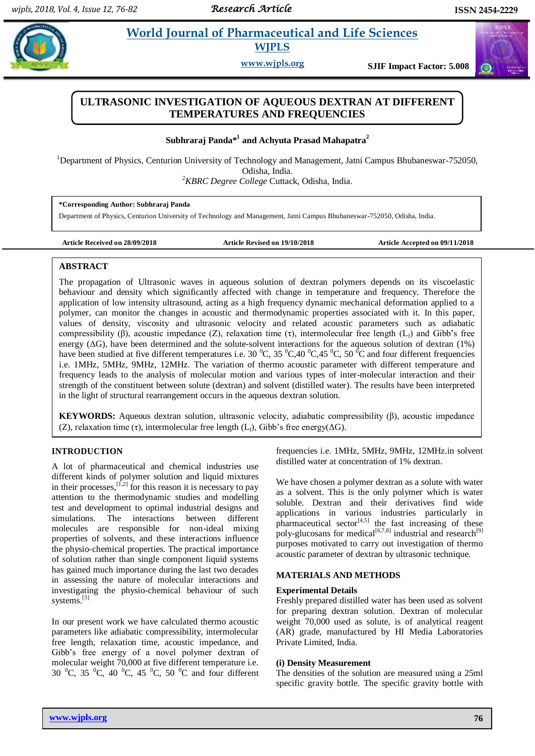# **Pandal** *E**World Journal of Pharmaceutical and Life Sciences* **WJPLS**

**www.wjpls.org SJIF Impact Factor: 5.008**

# **ULTRASONIC INVESTIGATION OF AQUEOUS DEXTRAN AT DIFFERENT TEMPERATURES AND FREQUENCIES**

**Subhraraj Panda\*<sup>1</sup> and Achyuta Prasad Mahapatra<sup>2</sup>**

<sup>1</sup>Department of Physics, Centurion University of Technology and Management, Jatni Campus Bhubaneswar-752050, Odisha, India.

<sup>2</sup>*KBRC Degree College* Cuttack, Odisha, India.

**\*Corresponding Author: Subhraraj Panda**

Department of Physics, Centurion University of Technology and Management, Jatni Campus Bhubaneswar-752050, Odisha, India.

**Article Received on 28/09/2018 Article Revised on 19/10/2018 Article Accepted on 09/11/2018**

# **ABSTRACT**

The propagation of Ultrasonic waves in aqueous solution of dextran polymers depends on its viscoelastic behaviour and density which significantly affected with change in temperature and frequency. Therefore the application of low intensity ultrasound, acting as a high frequency dynamic mechanical deformation applied to a polymer, can monitor the changes in acoustic and thermodynamic properties associated with it. In this paper, values of density, viscosity and ultrasonic velocity and related acoustic parameters such as adiabatic compressibility (β), acoustic impedance (Z), relaxation time (τ), intermolecular free length (L<sub>f</sub>) and Gibb's free energy  $(\Delta G)$ , have been determined and the solute-solvent interactions for the aqueous solution of dextran (1%) have been studied at five different temperatures i.e. 30  $^0C$ , 35  $^0C$ , 40  $^0C$ , 45  $^0C$ , 50  $^0C$  and four different frequencies i.e. 1MHz, 5MHz, 9MHz, 12MHz. The variation of thermo acoustic parameter with different temperature and frequency leads to the analysis of molecular motion and various types of inter-molecular interaction and their strength of the constituent between solute (dextran) and solvent (distilled water). The results have been interpreted in the light of structural rearrangement occurs in the aqueous dextran solution.

**KEYWORDS:** Aqueous dextran solution, ultrasonic velocity, adiabatic compressibility (β), acoustic impedance (Z), relaxation time (τ), intermolecular free length (L<sub>f</sub>), Gibb's free energy( $\Delta G$ ).

# **INTRODUCTION**

A lot of pharmaceutical and chemical industries use different kinds of polymer solution and liquid mixtures in their processes,  $[1,2]$  for this reason it is necessary to pay attention to the thermodynamic studies and modelling test and development to optimal industrial designs and simulations. The interactions between different molecules are responsible for non-ideal mixing properties of solvents, and these interactions influence the physio-chemical properties. The practical importance of solution rather than single component liquid systems has gained much importance during the last two decades in assessing the nature of molecular interactions and investigating the physio-chemical behaviour of such systems. [3]

In our present work we have calculated thermo acoustic parameters like adiabatic compressibility, intermolecular free length, relaxation time, acoustic impedance, and Gibb's free energy of a novel polymer dextran of molecular weight 70,000 at five different temperature i.e. 30  $^{\circ}$ C, 35  $^{\circ}$ C, 40  $^{\circ}$ C, 45  $^{\circ}$ C, 50  $^{\circ}$ C and four different frequencies i.e. 1MHz, 5MHz, 9MHz, 12MHz.in solvent distilled water at concentration of 1% dextran.

We have chosen a polymer dextran as a solute with water as a solvent. This is the only polymer which is water soluble. Dextran and their derivatives find wide applications in various industries particularly in pharmaceutical sector $[4,5]$  the fast increasing of these poly-glucosans for medical<sup>[6,7,8]</sup> industrial and research<sup>[9]</sup> purposes motivated to carry out investigation of thermo acoustic parameter of dextran by ultrasonic technique.

# **MATERIALS AND METHODS**

## **Experimental Details**

Freshly prepared distilled water has been used as solvent for preparing dextran solution. Dextran of molecular weight 70,000 used as solute, is of analytical reagent (AR) grade, manufactured by HI Media Laboratories Private Limited, India.

# **(i) Density Measurement**

The densities of the solution are measured using a 25ml specific gravity bottle. The specific gravity bottle with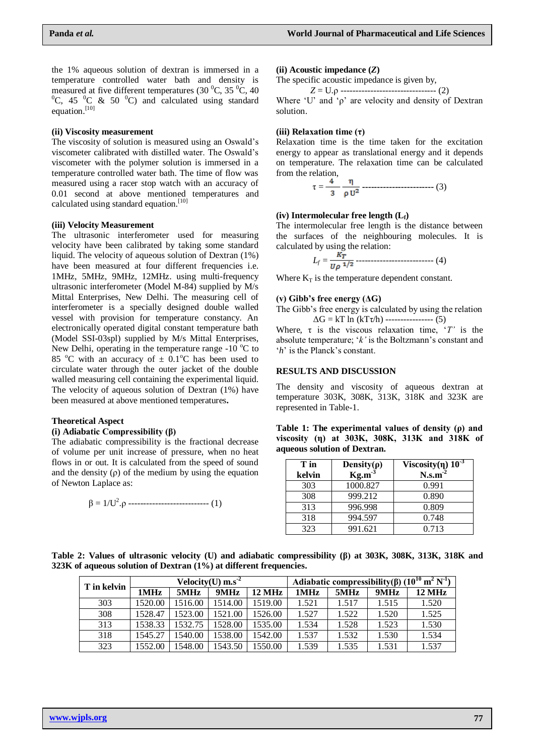the 1% aqueous solution of dextran is immersed in a temperature controlled water bath and density is measured at five different temperatures (30  $^{\circ}$ C, 35  $^{\circ}$ C, 40  ${}^{0}C$ , 45  ${}^{0}C$  & 50  ${}^{0}C$ ) and calculated using standard equation.<sup>[10]</sup>

#### **(ii) Viscosity measurement**

The viscosity of solution is measured using an Oswald"s viscometer calibrated with distilled water. The Oswald"s viscometer with the polymer solution is immersed in a temperature controlled water bath. The time of flow was measured using a racer stop watch with an accuracy of 0.01 second at above mentioned temperatures and calculated using standard equation.<sup>[10]</sup>

#### **(iii) Velocity Measurement**

The ultrasonic interferometer used for measuring velocity have been calibrated by taking some standard liquid. The velocity of aqueous solution of Dextran (1%) have been measured at four different frequencies i.e. 1MHz, 5MHz, 9MHz, 12MHz. using multi-frequency ultrasonic interferometer (Model M-84) supplied by M/s Mittal Enterprises, New Delhi. The measuring cell of interferometer is a specially designed double walled vessel with provision for temperature constancy. An electronically operated digital constant temperature bath (Model SSI-03spl) supplied by M/s Mittal Enterprises, New Delhi, operating in the temperature range  $-10$  °C to 85 <sup>o</sup>C with an accuracy of  $\pm$  0.1<sup>o</sup>C has been used to circulate water through the outer jacket of the double walled measuring cell containing the experimental liquid. The velocity of aqueous solution of Dextran (1%) have been measured at above mentioned temperatures**.**

#### **Theoretical Aspect**

#### **(i) Adiabatic Compressibility (β)**

The adiabatic compressibility is the fractional decrease of volume per unit increase of pressure, when no heat flows in or out. It is calculated from the speed of sound and the density  $(\rho)$  of the medium by using the equation of Newton Laplace as:

$$
\beta = 1/U^2 \cdot \rho \cdots \cdots \cdots \cdots \cdots \cdots \cdots \cdots \cdots \cdots (1)
$$

#### **(ii) Acoustic impedance (***Z***)**

The specific acoustic impedance is given by,

*Z* = U.ρ -------------------------------- (2) Where "U" and "ρ" are velocity and density of Dextran solution.

#### **(iii) Relaxation time (τ)**

Relaxation time is the time taken for the excitation energy to appear as translational energy and it depends on temperature. The relaxation time can be calculated from the relation,

τ = **------------------------** (3)

#### **(iv) Intermolecular free length (Lf)**

The intermolecular free length is the distance between the surfaces of the neighbouring molecules. It is calculated by using the relation:

$$
L_f = \frac{K_T}{U\rho^{1/2}} \dots \dots \dots \dots \dots \dots \dots \dots \dots \dots \dots \dots \dots \quad (4)
$$

Where  $K_T$  is the temperature dependent constant.

#### **(v) Gibb's free energy (ΔG)**

The Gibb"s free energy is calculated by using the relation  $\Delta G = kT \ln (kT\tau/h)$  ---------------- (5)

Where,  $\tau$  is the viscous relaxation time, ' $T'$  is the absolute temperature; 'k' is the Boltzmann's constant and '*h*' is the Planck's constant.

#### **RESULTS AND DISCUSSION**

The density and viscosity of aqueous dextran at temperature 303K, 308K, 313K, 318K and 323K are represented in Table-1.

| Table 1: The experimental values of density $(\rho)$ and |  |  |  |  |
|----------------------------------------------------------|--|--|--|--|
| viscosity (n) at 303K, 308K, 313K and 318K of            |  |  |  |  |
| aqueous solution of Dextran.                             |  |  |  |  |

| T in   | Density( $\rho$ )<br>Kg.m <sup>3</sup> | Viscosity( $\eta$ ) $10^{-3}$ |
|--------|----------------------------------------|-------------------------------|
| kelvin |                                        | N.s.m <sup>2</sup>            |
| 303    | 1000.827                               | 0.991                         |
| 308    | 999.212                                | 0.890                         |
| 313    | 996.998                                | 0.809                         |
| 318    | 994.597                                | 0.748                         |
| 323    | 991.621                                | 0.713                         |

**Table 2: Values of ultrasonic velocity (U) and adiabatic compressibility (β) at 303K, 308K, 313K, 318K and 323K of aqueous solution of Dextran (1%) at different frequencies.**

| T in kelvin |         |         | Velocity(U) $ms-2$ |                  | Adiabatic compressibility( $\beta$ ) ( $10^{10}$ m <sup>2</sup> N <sup>-1</sup> ) |       |       |                   |
|-------------|---------|---------|--------------------|------------------|-----------------------------------------------------------------------------------|-------|-------|-------------------|
|             | 1MHz    | 5MHz    | 9MHz               | $12 \text{ MHz}$ | 1MHz                                                                              | 5MHz  | 9MHz  | $12 \mathrm{MHz}$ |
| 303         | 1520.00 | 1516.00 | 1514.00            | 1519.00          | 1.521                                                                             | 1.517 | 1.515 | 1.520             |
| 308         | 1528.47 | 1523.00 | 1521.00            | 1526.00          | 1.527                                                                             | 1.522 | 1.520 | 1.525             |
| 313         | 1538.33 | 1532.75 | 1528.00            | 1535.00          | 1.534                                                                             | 1.528 | 1.523 | 1.530             |
| 318         | 1545.27 | 1540.00 | 1538.00            | 1542.00          | 1.537                                                                             | 1.532 | 1.530 | 1.534             |
| 323         | 1552.00 | 1548.00 | 1543.50            | 1550.00          | 1.539                                                                             | 1.535 | 1.531 | 1.537             |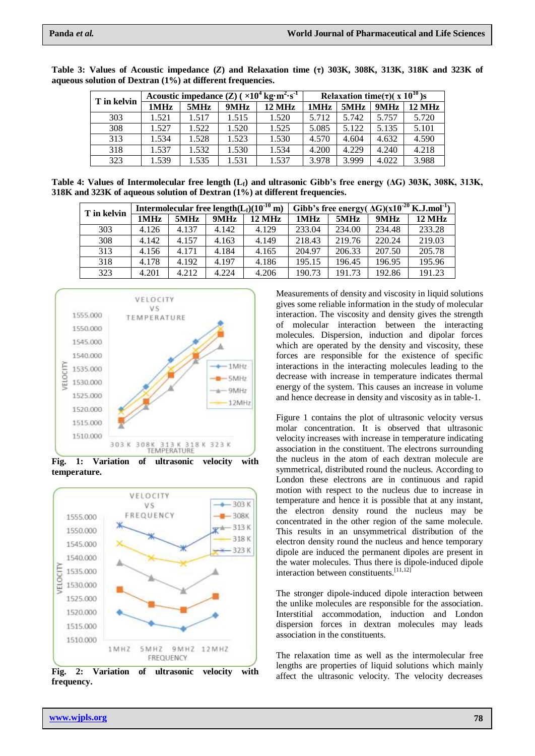| T in kelvin | Acoustic impedance $(Z)$ ( $\times 10^4$ kg·m <sup>2</sup> ·s <sup>-1</sup> | Relaxation time( $\tau$ )( $\overline{x}$ 10 <sup>10</sup> )s |       |        |       |       |       |        |
|-------------|-----------------------------------------------------------------------------|---------------------------------------------------------------|-------|--------|-------|-------|-------|--------|
|             | 1MHz                                                                        | 5MHz                                                          | 9MHz  | 12 MHz | 1MHz  | 5MHz  | 9MHz  | 12 MHz |
| 303         | 1.521                                                                       | 1.517                                                         | 1.515 | 1.520  | 5.712 | 5.742 | 5.757 | 5.720  |
| 308         | 1.527                                                                       | 1.522                                                         | 1.520 | 1.525  | 5.085 | 5.122 | 5.135 | 5.101  |
| 313         | 1.534                                                                       | 1.528                                                         | 1.523 | 1.530  | 4.570 | 4.604 | 4.632 | 4.590  |
| 318         | 1.537                                                                       | 1.532                                                         | 1.530 | 1.534  | 4.200 | 4.229 | 4.240 | 4.218  |
| 323         | 1.539                                                                       | 1.535                                                         | 1.531 | 1.537  | 3.978 | 3.999 | 4.022 | 3.988  |

**Table 3: Values of Acoustic impedance (***Z***) and Relaxation time (τ) 303K, 308K, 313K, 318K and 323K of aqueous solution of Dextran (1%) at different frequencies.**

**Table 4: Values of Intermolecular free length (Lf) and ultrasonic Gibb's free energy (ΔG) 303K, 308K, 313K, 318K and 323K of aqueous solution of Dextran (1%) at different frequencies.**

| T in kelvin |       |       |       | Intermolecular free length( $L_f$ )( $10^{-10}$ m) | Gibb's free energy( $\Delta G$ )( $\overline{x10^{-20}$ K.J.mol <sup>-1</sup> ) |        |        |                  |
|-------------|-------|-------|-------|----------------------------------------------------|---------------------------------------------------------------------------------|--------|--------|------------------|
|             | 1MHz  | 5MHz  | 9MHz  | 12 MHz                                             | 1MHz                                                                            | 5MHz   | 9MHz   | $12 \text{ MHz}$ |
| 303         | 4.126 | 4.137 | 4.142 | 4.129                                              | 233.04                                                                          | 234.00 | 234.48 | 233.28           |
| 308         | 4.142 | 4.157 | 4.163 | 4.149                                              | 218.43                                                                          | 219.76 | 220.24 | 219.03           |
| 313         | 4.156 | 4.171 | 4.184 | 4.165                                              | 204.97                                                                          | 206.33 | 207.50 | 205.78           |
| 318         | 4.178 | 4.192 | 4.197 | 4.186                                              | 195.15                                                                          | 196.45 | 196.95 | 195.96           |
| 323         | 4.201 | 4.212 | 4.224 | 4.206                                              | 190.73                                                                          | 191.73 | 192.86 | 191.23           |



**Fig. 1: Variation of ultrasonic velocity with temperature.**



**Fig. 2: Variation of ultrasonic velocity with frequency.**

Measurements of density and viscosity in liquid solutions gives some reliable information in the study of molecular interaction. The viscosity and density gives the strength of molecular interaction between the interacting molecules. Dispersion, induction and dipolar forces which are operated by the density and viscosity, these forces are responsible for the existence of specific interactions in the interacting molecules leading to the decrease with increase in temperature indicates thermal energy of the system. This causes an increase in volume and hence decrease in density and viscosity as in table-1.

Figure 1 contains the plot of ultrasonic velocity versus molar concentration. It is observed that ultrasonic velocity increases with increase in temperature indicating association in the constituent. The electrons surrounding the nucleus in the atom of each dextran molecule are symmetrical, distributed round the nucleus. According to London these electrons are in continuous and rapid motion with respect to the nucleus due to increase in temperature and hence it is possible that at any instant, the electron density round the nucleus may be concentrated in the other region of the same molecule. This results in an unsymmetrical distribution of the electron density round the nucleus and hence temporary dipole are induced the permanent dipoles are present in the water molecules. Thus there is dipole-induced dipole interaction between constituents.<sup>[11,12]</sup>

The stronger dipole-induced dipole interaction between the unlike molecules are responsible for the association. Interstitial accommodation, induction and London dispersion forces in dextran molecules may leads association in the constituents.

The relaxation time as well as the intermolecular free lengths are properties of liquid solutions which mainly affect the ultrasonic velocity. The velocity decreases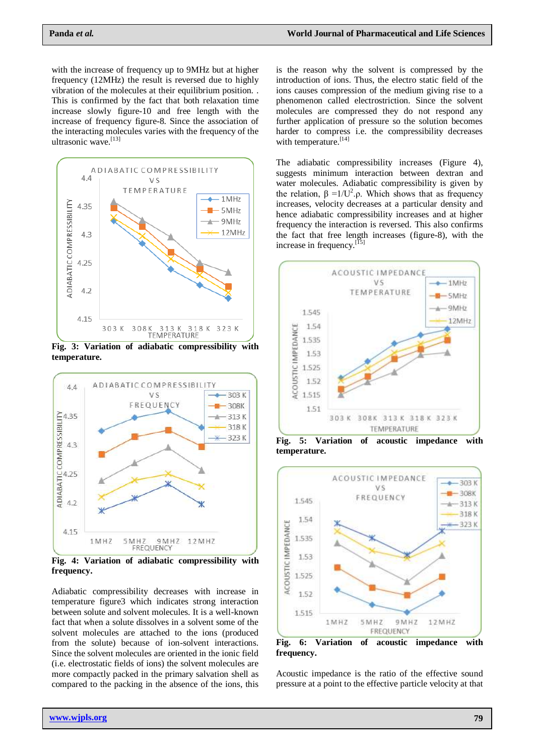with the increase of frequency up to 9MHz but at higher frequency (12MHz) the result is reversed due to highly vibration of the molecules at their equilibrium position. . This is confirmed by the fact that both relaxation time increase slowly figure-10 and free length with the increase of frequency figure-8. Since the association of the interacting molecules varies with the frequency of the ultrasonic wave. [13]



**Fig. 3: Variation of adiabatic compressibility with temperature.**



**Fig. 4: Variation of adiabatic compressibility with frequency.**

Adiabatic compressibility decreases with increase in temperature figure3 which indicates strong interaction between solute and solvent molecules. It is a well-known fact that when a solute dissolves in a solvent some of the solvent molecules are attached to the ions (produced from the solute) because of ion-solvent interactions. Since the solvent molecules are oriented in the ionic field (i.e. electrostatic fields of ions) the solvent molecules are more compactly packed in the primary salvation shell as compared to the packing in the absence of the ions, this is the reason why the solvent is compressed by the introduction of ions. Thus, the electro static field of the ions causes compression of the medium giving rise to a phenomenon called electrostriction. Since the solvent molecules are compressed they do not respond any further application of pressure so the solution becomes harder to compress i.e. the compressibility decreases with temperature.<sup>[14]</sup>

The adiabatic compressibility increases (Figure 4), suggests minimum interaction between dextran and water molecules. Adiabatic compressibility is given by the relation,  $\beta = 1/U^2 \rho$ . Which shows that as frequency increases, velocity decreases at a particular density and hence adiabatic compressibility increases and at higher frequency the interaction is reversed. This also confirms the fact that free length increases (figure-8), with the increase in frequency.<sup>[15]</sup>



**Fig. 5: Variation of acoustic impedance with temperature.**



**Fig. 6: Variation of acoustic impedance with frequency.**

Acoustic impedance is the ratio of the effective sound pressure at a point to the effective particle velocity at that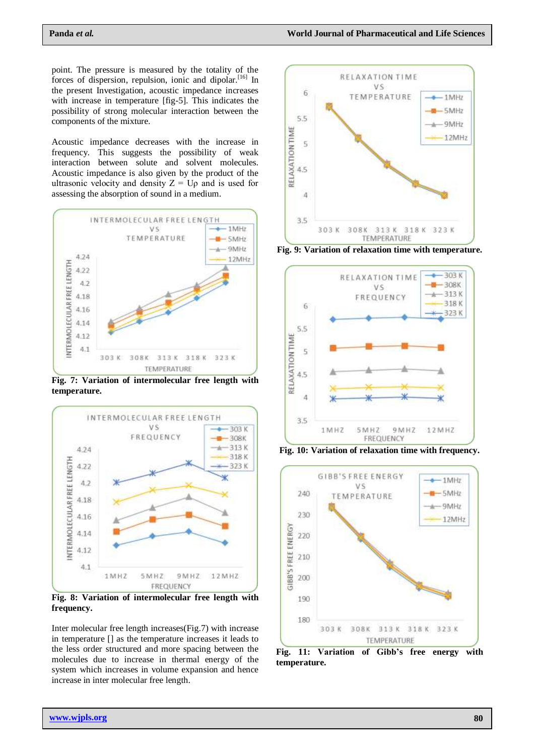point. The pressure is measured by the totality of the forces of dispersion, repulsion, ionic and dipolar.<sup>[16]</sup> In the present Investigation, acoustic impedance increases with increase in temperature [fig-5]. This indicates the possibility of strong molecular interaction between the components of the mixture.

Acoustic impedance decreases with the increase in frequency. This suggests the possibility of weak interaction between solute and solvent molecules. Acoustic impedance is also given by the product of the ultrasonic velocity and density  $Z = U\rho$  and is used for assessing the absorption of sound in a medium.



**Fig. 7: Variation of intermolecular free length with temperature.**



**Fig. 8: Variation of intermolecular free length with frequency.**

Inter molecular free length increases(Fig.7) with increase in temperature [] as the temperature increases it leads to the less order structured and more spacing between the molecules due to increase in thermal energy of the system which increases in volume expansion and hence increase in inter molecular free length.



**Fig. 9: Variation of relaxation time with temperature.**



**Fig. 10: Variation of relaxation time with frequency.**



**Fig. 11: Variation of Gibb's free energy with temperature.**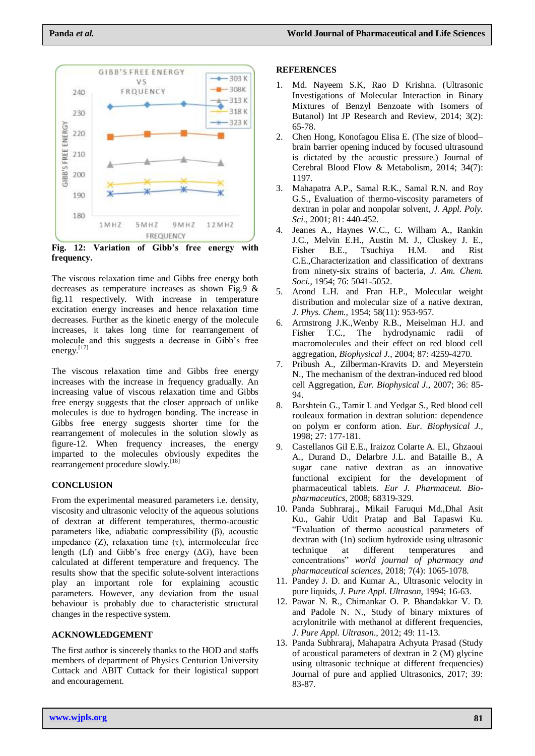

**Fig. 12: Variation of Gibb's free energy with frequency.**

The viscous relaxation time and Gibbs free energy both decreases as temperature increases as shown Fig.9 & fig.11 respectively. With increase in temperature excitation energy increases and hence relaxation time decreases. Further as the kinetic energy of the molecule increases, it takes long time for rearrangement of molecule and this suggests a decrease in Gibb"s free energy.<sup>[17]</sup>

The viscous relaxation time and Gibbs free energy increases with the increase in frequency gradually. An increasing value of viscous relaxation time and Gibbs free energy suggests that the closer approach of unlike molecules is due to hydrogen bonding. The increase in Gibbs free energy suggests shorter time for the rearrangement of molecules in the solution slowly as figure-12. When frequency increases, the energy imparted to the molecules obviously expedites the rearrangement procedure slowly.<sup>[18]</sup>

# **CONCLUSION**

From the experimental measured parameters i.e. density, viscosity and ultrasonic velocity of the aqueous solutions of dextran at different temperatures, thermo-acoustic parameters like, adiabatic compressibility (β), acoustic impedance  $(Z)$ , relaxation time  $(\tau)$ , intermolecular free length (Lf) and Gibb's free energy  $( \Delta G)$ , have been calculated at different temperature and frequency. The results show that the specific solute-solvent interactions play an important role for explaining acoustic parameters. However, any deviation from the usual behaviour is probably due to characteristic structural changes in the respective system.

## **ACKNOWLEDGEMENT**

The first author is sincerely thanks to the HOD and staffs members of department of Physics Centurion University Cuttack and ABIT Cuttack for their logistical support and encouragement.

#### **REFERENCES**

- 1. Md. Nayeem S.K, Rao D Krishna. (Ultrasonic Investigations of Molecular Interaction in Binary Mixtures of Benzyl Benzoate with Isomers of Butanol) Int JP Research and Review, 2014; 3(2): 65-78.
- 2. Chen Hong, Konofagou Elisa E. (The size of blood– brain barrier opening induced by focused ultrasound is dictated by the acoustic pressure.) Journal of Cerebral Blood Flow & Metabolism, 2014; 34(7): 1197.
- 3. Mahapatra A.P., Samal R.K., Samal R.N. and Roy G.S., Evaluation of thermo-viscosity parameters of dextran in polar and nonpolar solvent, *J. Appl. Poly. Sci.,* 2001; 81: 440-452.
- 4. Jeanes A., Haynes W.C., C. Wilham A., Rankin J.C., Melvin E.H., Austin M. J., Cluskey J. E., Fisher B.E., Tsuchiya H.M. and Rist C.E.,Characterization and classification of dextrans from ninety-six strains of bacteria, *J. Am. Chem. Soci.*, 1954; 76: 5041-5052.
- 5. Arond L.H. and Fran H.P., Molecular weight distribution and molecular size of a native dextran, *J. Phys. Chem.,* 1954; 58(11): 953-957.
- 6. Armstrong J.K.,Wenby R.B., Meiselman H.J. and Fisher T.C., The hydrodynamic radii of macromolecules and their effect on red blood cell aggregation, *Biophysical J.,* 2004; 87: 4259-4270.
- 7. Pribush A., Zilberman-Kravits D. and Meyerstein N., The mechanism of the dextran-induced red blood cell Aggregation, *Eur. Biophysical J.,* 2007; 36: 85- 94.
- 8. Barshtein G., Tamir I. and Yedgar S., Red blood cell rouleaux formation in dextran solution: dependence on polym er conform ation. *Eur. Biophysical J.,*  1998; 27: 177-181.
- 9. Castellanos Gil E.E., Iraizoz Colarte A. El., Ghzaoui A., Durand D., Delarbre J.L. and Bataille B., A sugar cane native dextran as an innovative functional excipient for the development of pharmaceutical tablets. *Eur J. Pharmaceut. Biopharmaceutics,* 2008; 68319-329.
- 10. Panda Subhraraj., Mikail Faruqui Md.,Dhal Asit Ku., Gahir Udit Pratap and Bal Tapaswi Ku. "Evaluation of thermo acoustical parameters of dextran with (1n) sodium hydroxide using ultrasonic technique at different temperatures and concentrations" *world journal of pharmacy and pharmaceutical sciences,* 2018; 7(4): 1065-1078.
- 11. Pandey J. D. and Kumar A., Ultrasonic velocity in pure liquids, *J. Pure Appl. Ultrason*, 1994; 16-63.
- 12. Pawar N. R., Chimankar O. P. Bhandakkar V. D. and Padole N. N., Study of binary mixtures of acrylonitrile with methanol at different frequencies, *J. Pure Appl. Ultrason.,* 2012; 49: 11-13.
- 13. Panda Subhraraj, Mahapatra Achyuta Prasad (Study of acoustical parameters of dextran in 2 (M) glycine using ultrasonic technique at different frequencies) Journal of pure and applied Ultrasonics, 2017; 39: 83-87.